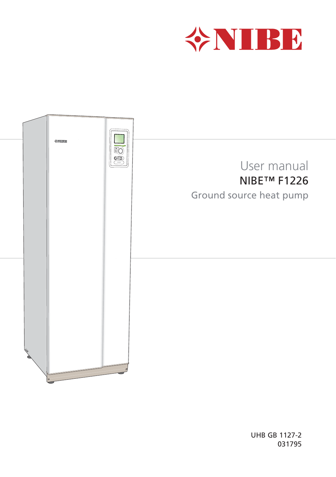



UHB GB 1127-2 031795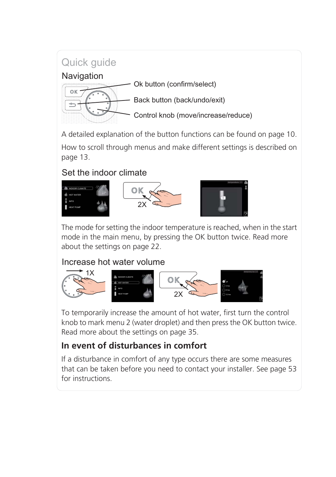### Quick quide



A detailed explanation of the button functions can be found on page 10.

How to scroll through menus and make different settings is described on page 13.

#### Set the indoor climate



The mode for setting the indoor temperature is reached, when in the start mode in the main menu, by pressing the OK button twice. Read more about the settings on page 22.

#### Increase hot water volume



To temporarily increase the amount of hot water, first turn the control knob to mark menu 2 (water droplet) and then press the OK button twice. Read more about the settings on page 35.

### **In event of disturbances in comfort**

If a disturbance in comfort of any type occurs there are some measures that can be taken before you need to contact your installer. See page 53 for instructions.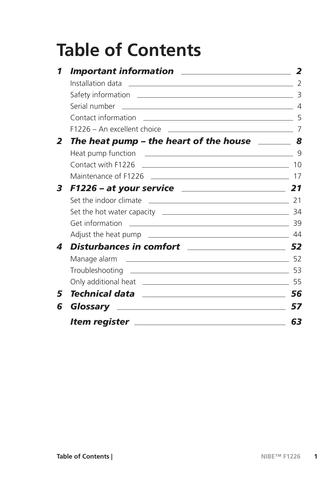# **Table of Contents**

|                | <b>Important information</b>                                                            |                |
|----------------|-----------------------------------------------------------------------------------------|----------------|
|                | Installation data                                                                       | $\mathcal{L}$  |
|                |                                                                                         | 3              |
|                |                                                                                         | $\overline{4}$ |
|                | Contact information                                                                     |                |
|                | $F1226 - An excellent choice$                                                           |                |
| $\overline{2}$ | The heat pump – the heart of the house $\sim$ 8                                         |                |
|                | Heat pump function<br><u> 1980 - Andrea State Barbara, amerikan personal (h. 1980).</u> | q              |
|                |                                                                                         | 10             |
|                |                                                                                         | 17             |
| 3              |                                                                                         |                |
|                |                                                                                         |                |
|                |                                                                                         | -34            |
|                | Get information<br><u> 1980 - Andrea Andrew Maria (h. 1980).</u>                        | 39             |
|                |                                                                                         |                |
| 4              |                                                                                         |                |
|                | Manage alarm<br><u> 1980 - Antonio Alemania, politikar politikar (h. 1980)</u>          | -52            |
|                |                                                                                         |                |
|                |                                                                                         |                |
| 5              | Technical data <u>______________________________</u>                                    | 56             |
| 6              |                                                                                         | 57             |
|                | <u> tem register ________________________________</u>                                   | 63             |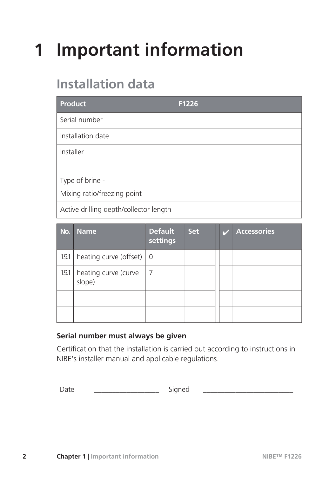# **1 Important information**

## **Installation data**

| <b>Product</b>                         | F1226 |
|----------------------------------------|-------|
| Serial number                          |       |
| Installation date                      |       |
| Installer                              |       |
|                                        |       |
| Type of brine -                        |       |
| Mixing ratio/freezing point            |       |
| Active drilling depth/collector length |       |

| No. | <b>Name</b>                              | <b>Default</b><br>settings | <b>Set</b> |  | <b>Accessories</b> |
|-----|------------------------------------------|----------------------------|------------|--|--------------------|
| 191 | heating curve (offset) $\vert 0 \rangle$ |                            |            |  |                    |
| 191 | heating curve (curve<br>slope)           | -7                         |            |  |                    |
|     |                                          |                            |            |  |                    |
|     |                                          |                            |            |  |                    |

#### **Serial number must always be given**

Certification that the installation is carried out according to instructions in NIBE's installer manual and applicable regulations.

Date \_\_\_\_\_\_\_\_\_\_\_\_\_\_\_\_\_\_ Signed \_\_\_\_\_\_\_\_\_\_\_\_\_\_\_\_\_\_\_\_\_\_\_\_\_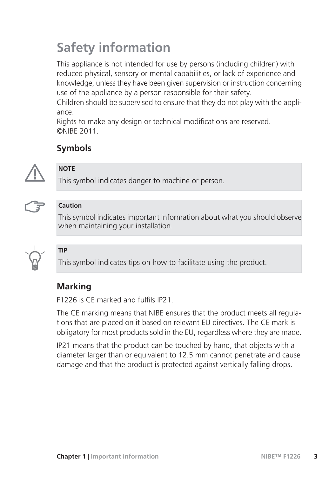## **Safety information**

This appliance is not intended for use by persons (including children) with reduced physical, sensory or mental capabilities, or lack of experience and knowledge, unless they have been given supervision or instruction concerning use of the appliance by a person responsible for their safety.

Children should be supervised to ensure that they do not play with the appliance.

Rights to make any design or technical modifications are reserved. ©NIBE 2011.

### **Symbols**



#### **NOTE**

This symbol indicates danger to machine or person.



#### **Caution**

This symbol indicates important information about what you should observe when maintaining your installation.



#### **TIP**

This symbol indicates tips on how to facilitate using the product.

### **Marking**

F1226 is CE marked and fulfils IP21.

The CE marking means that NIBE ensures that the product meets all regulations that are placed on it based on relevant EU directives. The CE mark is obligatory for most products sold in the EU, regardless where they are made.

IP21 means that the product can be touched by hand, that objects with a diameter larger than or equivalent to 12.5 mm cannot penetrate and cause damage and that the product is protected against vertically falling drops.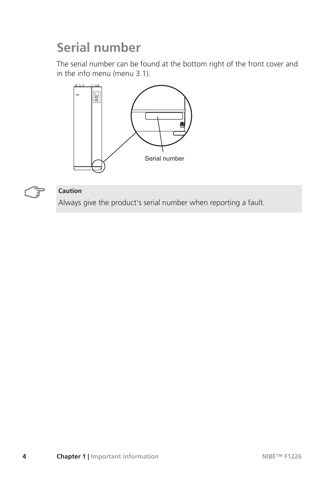## **Serial number**

The serial number can be found at the bottom right of the front cover and in the info menu (menu 3.1).





#### **Caution**

Always give the product's serial number when reporting a fault.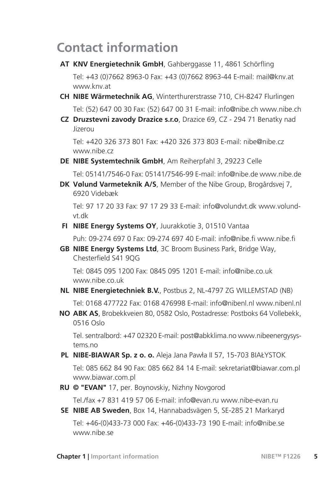### **Contact information**

- **AT KNV Energietechnik GmbH**, Gahberggasse 11, 4861 Schörfling Tel: +43 (0)7662 8963-0 Fax: +43 (0)7662 8963-44 E-mail: mail@knv.at www.knv.at
- **CH NIBE Wärmetechnik AG**, Winterthurerstrasse 710, CH-8247 Flurlingen Tel: (52) 647 00 30 Fax: (52) 647 00 31 E-mail: info@nibe.ch www.nibe.ch
- **Druzstevni zavody Drazice s.r.o**, Drazice 69, CZ 294 71 Benatky nad **CZ** Jizerou

Tel: +420 326 373 801 Fax: +420 326 373 803 E-mail: nibe@nibe.cz www.nibe.cz

**DE NIBE Systemtechnik GmbH**, Am Reiherpfahl 3, 29223 Celle

Tel: 05141/7546-0 Fax: 05141/7546-99 E-mail: info@nibe.de www.nibe.de

**Vølund Varmeteknik A/S**, Member of the Nibe Group, Brogårdsvej 7, **DK** 6920 Videbæk

Tel: 97 17 20 33 Fax: 97 17 29 33 E-mail: info@volundvt.dk www.volundvt.dk

**FI NIBE Energy Systems OY**, Juurakkotie 3, 01510 Vantaa

Puh: 09-274 697 0 Fax: 09-274 697 40 E-mail: info@nibe.fi www.nibe.fi

**NIBE Energy Systems Ltd**, 3C Broom Business Park, Bridge Way, **GB** Chesterfield S41 9QG

Tel: 0845 095 1200 Fax: 0845 095 1201 E-mail: info@nibe.co.uk www.nibe.co.uk

- **NL NIBE Energietechniek B.V.**, Postbus 2, NL-4797 ZG WILLEMSTAD (NB) Tel: 0168 477722 Fax: 0168 476998 E-mail: info@nibenl.nl www.nibenl.nl
- **ABK AS**, Brobekkveien 80, 0582 Oslo, Postadresse: Postboks 64 Vollebekk, **NO** 0516 Oslo

Tel. sentralbord: +47 02320 E-mail: post@abkklima.no www.nibeenergysystems.no

**PL NIBE-BIAWAR Sp. z o. o.** Aleja Jana Pawła II 57, 15-703 BIAŁYSTOK

Tel: 085 662 84 90 Fax: 085 662 84 14 E-mail: sekretariat@biawar.com.pl www.biawar.com.pl

**RU © "EVAN"** 17, per. Boynovskiy, Nizhny Novgorod

Tel./fax +7 831 419 57 06 E-mail: info@evan.ru www.nibe-evan.ru

**SE NIBE AB Sweden**, Box 14, Hannabadsvägen 5, SE-285 21 Markaryd

Tel: +46-(0)433-73 000 Fax: +46-(0)433-73 190 E-mail: info@nibe.se www.nibe.se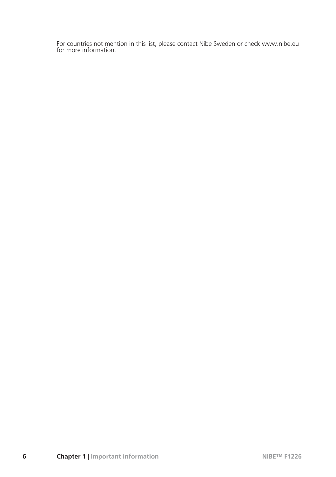For countries not mention in this list, please contact Nibe Sweden or check www.nibe.eu for more information.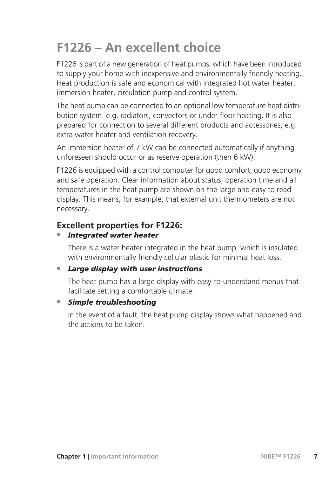## **F1226 – An excellent choice**

F1226 is part of a new generation of heat pumps, which have been introduced to supply your home with inexpensive and environmentally friendly heating. Heat production is safe and economical with integrated hot water heater, immersion heater, circulation pump and control system.

The heat pump can be connected to an optional low temperature heat distribution system. e.g. radiators, convectors or under floor heating. It is also prepared for connection to several different products and accessories, e.g. extra water heater and ventilation recovery.

An immersion heater of 7 kW can be connected automatically if anything unforeseen should occur or as reserve operation (then 6 kW).

F1226 is equipped with a control computer for good comfort, good economy and safe operation. Clear information about status, operation time and all temperatures in the heat pump are shown on the large and easy to read display. This means, for example, that external unit thermometers are not necessary.

#### **Excellent properties for F1226:**

#### ႑ *Integrated water heater*

There is a water heater integrated in the heat pump, which is insulated with environmentally friendly cellular plastic for minimal heat loss.

#### ■ Large display with user instructions

The heat pump has a large display with easy-to-understand menus that facilitate setting a comfortable climate.

#### ■ *Simple troubleshooting*

In the event of a fault, the heat pump display shows what happened and the actions to be taken.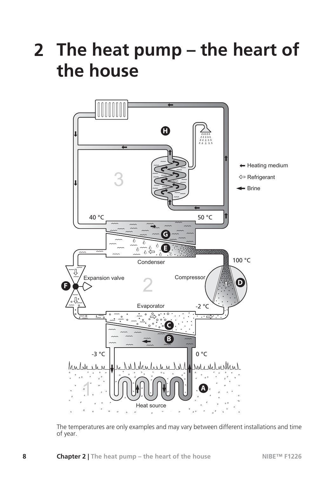# **2 The heat pump – the heart of the house**



The temperatures are only examples and may vary between different installations and time of year.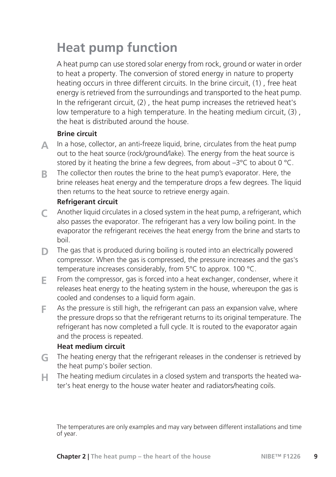## **Heat pump function**

A heat pump can use stored solar energy from rock, ground or water in order to heat a property. The conversion of stored energy in nature to property heating occurs in three different circuits. In the brine circuit, (1) , free heat energy is retrieved from the surroundings and transported to the heat pump. In the refrigerant circuit, (2) , the heat pump increases the retrieved heat's low temperature to a high temperature. In the heating medium circuit, (3) , the heat is distributed around the house.

#### **Brine circuit**

- In a hose, collector, an anti-freeze liquid, brine, circulates from the heat pump out to the heat source (rock/ground/lake). The energy from the heat source is stored by it heating the brine a few degrees, from about  $-3^{\circ}$ C to about 0  $^{\circ}$ C. **A**
- The collector then routes the brine to the heat pump's evaporator. Here, the brine releases heat energy and the temperature drops a few degrees. The liquid then returns to the heat source to retrieve energy again. **B**

#### **Refrigerant circuit**

- Another liquid circulates in a closed system in the heat pump, a refrigerant, which also passes the evaporator. The refrigerant has a very low boiling point. In the evaporator the refrigerant receives the heat energy from the brine and starts to boil. **C**
- The gas that is produced during boiling is routed into an electrically powered compressor. When the gas is compressed, the pressure increases and the gas's temperature increases considerably, from 5°C to approx. 100 °C. **D**
- From the compressor, gas is forced into a heat exchanger, condenser, where it releases heat energy to the heating system in the house, whereupon the gas is cooled and condenses to a liquid form again. **E**
- As the pressure is still high, the refrigerant can pass an expansion valve, where the pressure drops so that the refrigerant returns to its original temperature. The refrigerant has now completed a full cycle. It is routed to the evaporator again and the process is repeated. **F**

#### **Heat medium circuit**

- The heating energy that the refrigerant releases in the condenser is retrieved by the heat pump's boiler section. **G**
- The heating medium circulates in a closed system and transports the heated water's heat energy to the house water heater and radiators/heating coils. **H**

The temperatures are only examples and may vary between different installations and time of year.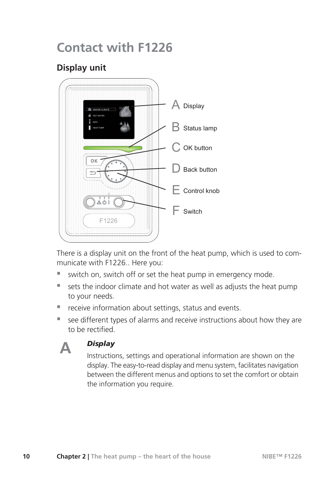### **Contact with F1226**

### **Display unit**



There is a display unit on the front of the heat pump, which is used to communicate with F1226.. Here you:

- switch on, switch off or set the heat pump in emergency mode.
- sets the indoor climate and hot water as well as adjusts the heat pump to your needs.
- receive information about settings, status and events.
- see different types of alarms and receive instructions about how they are to be rectified.



#### *Display*

Instructions, settings and operational information are shown on the display. The easy-to-read display and menu system, facilitates navigation between the different menus and options to set the comfort or obtain the information you require.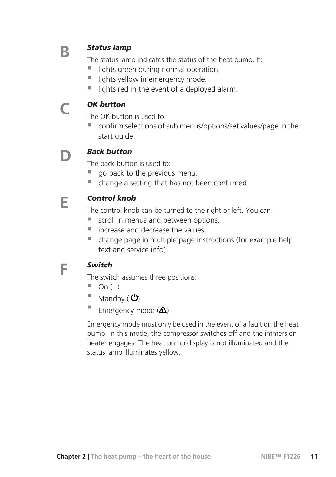### **B**

**C**

**E**

**F**

#### *Status lamp*

The status lamp indicates the status of the heat pump. It:

- lights green during normal operation.
- lights yellow in emergency mode.
- $\blacksquare$  lights red in the event of a deployed alarm.

#### *OK button*

The OK button is used to:

■ confirm selections of sub menus/options/set values/page in the start guide.

#### *Back button* **D**

The back button is used to:

- go back to the previous menu.
- change a setting that has not been confirmed.

#### *Control knob*

The control knob can be turned to the right or left. You can:

- $\blacksquare$  scroll in menus and between options.
- $\blacksquare$  increase and decrease the values.
- change page in multiple page instructions (for example help text and service info).

#### *Switch*

The switch assumes three positions:

- $\Box$  On ( )
- $\blacksquare$  Standby ( $\bigcirc$ )
- Emergency mode  $(\Delta)$

Emergency mode must only be used in the event of a fault on the heat pump. In this mode, the compressor switches off and the immersion heater engages. The heat pump display is not illuminated and the status lamp illuminates yellow.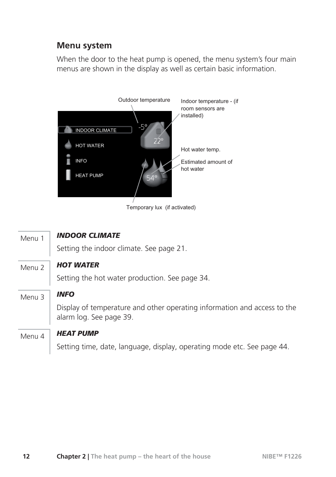#### **Menu system**

When the door to the heat pump is opened, the menu system's four main menus are shown in the display as well as certain basic information.



Temporary lux (if activated)

| Menu 1 | <b>INDOOR CLIMATE</b>                                                                               |
|--------|-----------------------------------------------------------------------------------------------------|
|        | Setting the indoor climate. See page 21.                                                            |
| Menu 2 | <b>HOT WATER</b>                                                                                    |
|        | Setting the hot water production. See page 34.                                                      |
| Menu 3 | <b>INFO</b>                                                                                         |
|        | Display of temperature and other operating information and access to the<br>alarm log. See page 39. |
| Menu 4 | <b>HEAT PUMP</b>                                                                                    |
|        | Setting time, date, language, display, operating mode etc. See page 44.                             |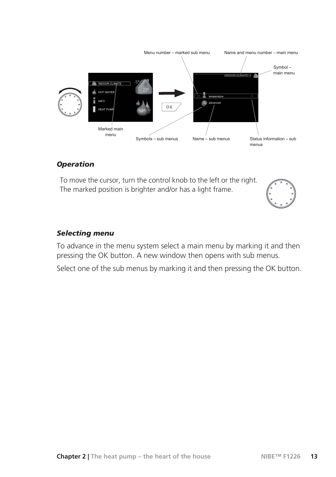

#### *Operation*

To move the cursor, turn the control knob to the left or the right. The marked position is brighter and/or has a light frame.



#### *Selecting menu*

To advance in the menu system select a main menu by marking it and then pressing the OK button. A new window then opens with sub menus.

Select one of the sub menus by marking it and then pressing the OK button.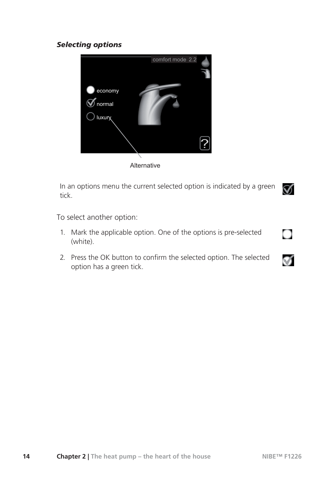#### *Selecting options*



**Alternative** 

In an options menu the current selected option is indicated by a green tick.



To select another option:

- Mark the applicable option. One of the options is pre-selected 1. (white).
- 2. Press the OK button to confirm the selected option. The selected option has a green tick.

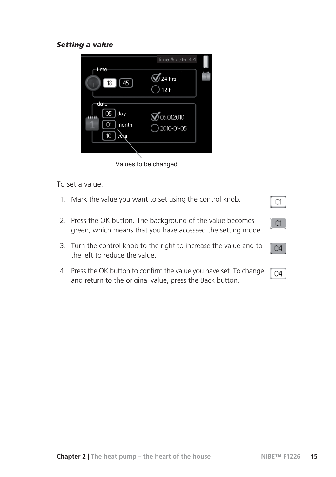#### *Setting a value*



Values to be changed

To set a value:

- 1. Mark the value you want to set using the control knob.
- 2. Press the OK button. The background of the value becomes green, which means that you have accessed the setting mode.
- Turn the control knob to the right to increase the value and to 3. the left to reduce the value.
- Press the OK button to confirm the value you have set. To change 4. and return to the original value, press the Back button.

 $01$ 

 $-01$ 

04

04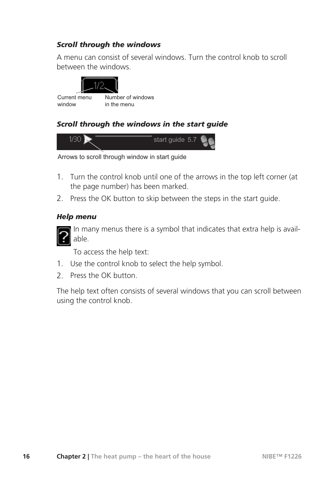#### *Scroll through the windows*

A menu can consist of several windows. Turn the control knob to scroll between the windows.



Current menu window

Number of windows  $\ln$  the menu

#### *Scroll through the windows in the start guide*



Arrows to scroll through window in start guide

- 1. Turn the control knob until one of the arrows in the top left corner (at the page number) has been marked.
- 2. Press the OK button to skip between the steps in the start guide.

#### *Help menu*



In many menus there is a symbol that indicates that extra help is available.

To access the help text:

- 1. Use the control knob to select the help symbol.
- 2 Press the OK button

The help text often consists of several windows that you can scroll between using the control knob.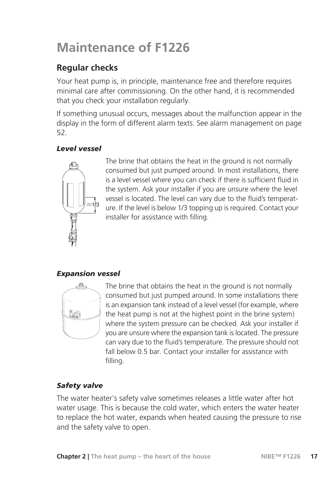## **Maintenance of F1226**

### **Regular checks**

Your heat pump is, in principle, maintenance free and therefore requires minimal care after commissioning. On the other hand, it is recommended that you check your installation regularly.

If something unusual occurs, messages about the malfunction appear in the display in the form of different alarm texts. See alarm management on page 52.

#### *Level vessel*



The brine that obtains the heat in the ground is not normally consumed but just pumped around. In most installations, there is a level vessel where you can check if there is sufficient fluid in the system. Ask your installer if you are unsure where the level vessel is located. The level can vary due to the fluid's temperature. If the level is below 1/3 topping up is required. Contact your installer for assistance with filling.

#### *Expansion vessel*



The brine that obtains the heat in the ground is not normally consumed but just pumped around. In some installations there is an expansion tank instead of a level vessel (for example, where the heat pump is not at the highest point in the brine system) where the system pressure can be checked. Ask your installer if you are unsure where the expansion tank is located. The pressure can vary due to the fluid's temperature. The pressure should not fall below 0.5 bar. Contact your installer for assistance with filling.

#### *Safety valve*

The water heater's safety valve sometimes releases a little water after hot water usage. This is because the cold water, which enters the water heater to replace the hot water, expands when heated causing the pressure to rise and the safety valve to open.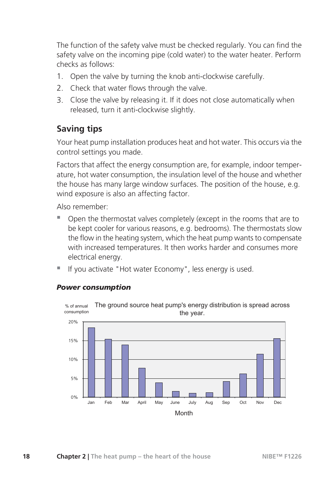The function of the safety valve must be checked regularly. You can find the safety valve on the incoming pipe (cold water) to the water heater. Perform checks as follows:

- 1. Open the valve by turning the knob anti-clockwise carefully.
- 2. Check that water flows through the valve.
- 3. Close the valve by releasing it. If it does not close automatically when released, turn it anti-clockwise slightly.

#### **Saving tips**

Your heat pump installation produces heat and hot water. This occurs via the control settings you made.

Factors that affect the energy consumption are, for example, indoor temperature, hot water consumption, the insulation level of the house and whether the house has many large window surfaces. The position of the house, e.g. wind exposure is also an affecting factor.

Also remember:

- Open the thermostat valves completely (except in the rooms that are to be kept cooler for various reasons, e.g. bedrooms). The thermostats slow the flow in the heating system, which the heat pump wants to compensate with increased temperatures. It then works harder and consumes more electrical energy.
- If you activate "Hot water Economy", less energy is used.



#### *Power consumption*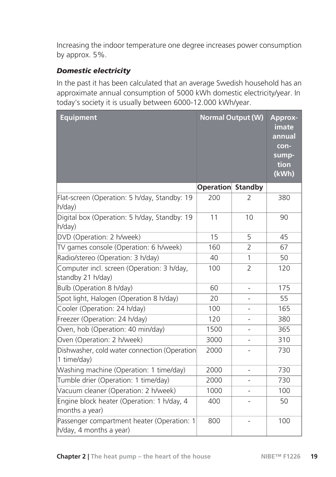Increasing the indoor temperature one degree increases power consumption by approx. 5%.

#### *Domestic electricity*

In the past it has been calculated that an average Swedish household has an approximate annual consumption of 5000 kWh domestic electricity/year. In today's society it is usually between 6000-12.000 kWh/year.

| <b>Equipment</b>                                                      | <b>Normal Output (W)</b> |                | <b>Approx-</b><br>imate<br>annual<br>con-<br>sump-<br>tion<br>(kWh) |
|-----------------------------------------------------------------------|--------------------------|----------------|---------------------------------------------------------------------|
|                                                                       | <b>Operation Standby</b> |                |                                                                     |
| Flat-screen (Operation: 5 h/day, Standby: 19<br>h/day)                | 200                      | $\overline{2}$ | 380                                                                 |
| Digital box (Operation: 5 h/day, Standby: 19<br>h/day)                | 11                       | 10             | 90                                                                  |
| DVD (Operation: 2 h/week)                                             | 15                       | 5              | 45                                                                  |
| TV games console (Operation: 6 h/week)                                | 160                      | $\overline{2}$ | 67                                                                  |
| Radio/stereo (Operation: 3 h/day)                                     | 40                       | 1              | 50                                                                  |
| Computer incl. screen (Operation: 3 h/day,<br>standby 21 h/day)       | 100                      | $\overline{2}$ | 120                                                                 |
| Bulb (Operation 8 h/day)                                              | 60                       |                | 175                                                                 |
| Spot light, Halogen (Operation 8 h/day)                               | 20                       |                | 55                                                                  |
| Cooler (Operation: 24 h/day)                                          | 100                      |                | 165                                                                 |
| Freezer (Operation: 24 h/day)                                         | 120                      | ÷,             | 380                                                                 |
| Oven, hob (Operation: 40 min/day)                                     | 1500                     |                | 365                                                                 |
| Oven (Operation: 2 h/week)                                            | 3000                     |                | 310                                                                 |
| Dishwasher, cold water connection (Operation<br>1 time/day)           | 2000                     |                | 730                                                                 |
| Washing machine (Operation: 1 time/day)                               | 2000                     | $\overline{a}$ | 730                                                                 |
| Tumble drier (Operation: 1 time/day)                                  | 2000                     | $\overline{a}$ | 730                                                                 |
| Vacuum cleaner (Operation: 2 h/week)                                  | 1000                     |                | 100                                                                 |
| Engine block heater (Operation: 1 h/day, 4<br>months a year)          | 400                      |                | 50                                                                  |
| Passenger compartment heater (Operation: 1<br>h/day, 4 months a year) | 800                      |                | 100                                                                 |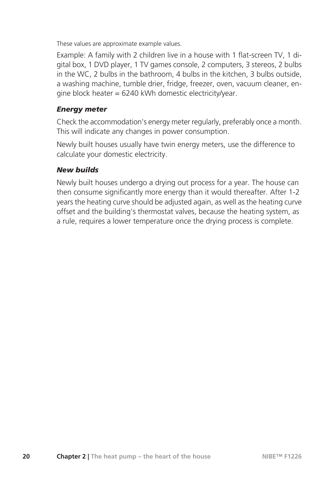These values are approximate example values.

Example: A family with 2 children live in a house with 1 flat-screen TV, 1 digital box, 1 DVD player, 1 TV games console, 2 computers, 3 stereos, 2 bulbs in the WC, 2 bulbs in the bathroom, 4 bulbs in the kitchen, 3 bulbs outside, a washing machine, tumble drier, fridge, freezer, oven, vacuum cleaner, engine block heater =  $6240$  kWh domestic electricity/year.

#### *Energy meter*

Check the accommodation's energy meter regularly, preferably once a month. This will indicate any changes in power consumption.

Newly built houses usually have twin energy meters, use the difference to calculate your domestic electricity.

#### *New builds*

Newly built houses undergo a drying out process for a year. The house can then consume significantly more energy than it would thereafter. After 1-2 years the heating curve should be adjusted again, as well as the heating curve offset and the building's thermostat valves, because the heating system, as a rule, requires a lower temperature once the drying process is complete.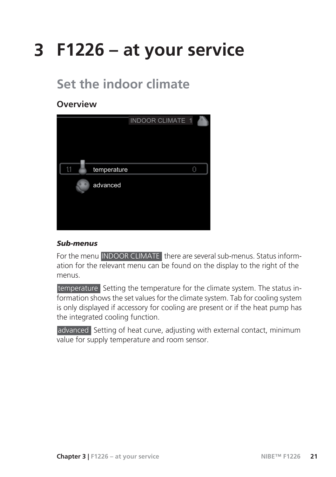# **3 F1226 – at your service**

## **Set the indoor climate**

#### **Overview**



#### *Sub-menus*

For the menu INDOOR CLIMATE there are several sub-menus. Status information for the relevant menu can be found on the display to the right of the menus.

temperature Setting the temperature for the climate system. The status information shows the set values for the climate system. Tab for cooling system is only displayed if accessory for cooling are present or if the heat pump has the integrated cooling function.

advanced Setting of heat curve, adjusting with external contact, minimum value for supply temperature and room sensor.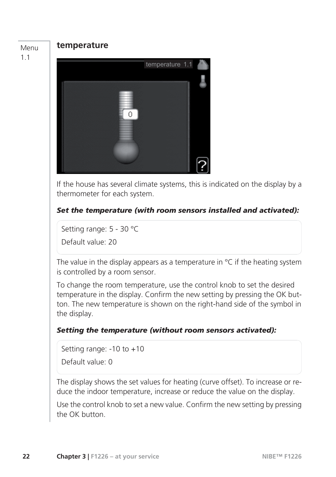Menu 1.1

#### **temperature**



If the house has several climate systems, this is indicated on the display by a thermometer for each system.

#### *Set the temperature (with room sensors installed and activated):*

Setting range: 5 - 30 °C

Default value: 20

The value in the display appears as a temperature in  $\degree$ C if the heating system is controlled by a room sensor.

To change the room temperature, use the control knob to set the desired temperature in the display. Confirm the new setting by pressing the OK button. The new temperature is shown on the right-hand side of the symbol in the display.

#### *Setting the temperature (without room sensors activated):*

Setting range: -10 to +10 Default value: 0

The display shows the set values for heating (curve offset). To increase or reduce the indoor temperature, increase or reduce the value on the display.

Use the control knob to set a new value. Confirm the new setting by pressing the OK button.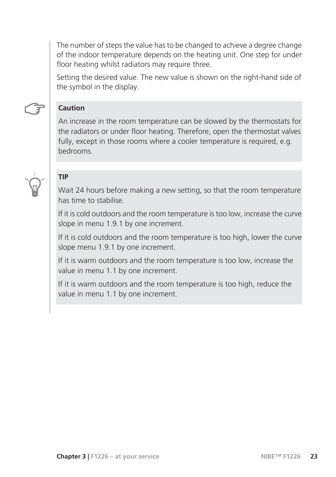The number of steps the value has to be changed to achieve a degree change of the indoor temperature depends on the heating unit. One step for under floor heating whilst radiators may require three.

Setting the desired value. The new value is shown on the right-hand side of the symbol in the display.



#### **Caution**

An increase in the room temperature can be slowed by the thermostats for the radiators or under floor heating. Therefore, open the thermostat valves fully, except in those rooms where a cooler temperature is required, e.g. bedrooms.



#### **TIP**

Wait 24 hours before making a new setting, so that the room temperature has time to stabilise.

If it is cold outdoors and the room temperature is too low, increase the curve slope in menu 1.9.1 by one increment.

If it is cold outdoors and the room temperature is too high, lower the curve slope menu 1.9.1 by one increment.

If it is warm outdoors and the room temperature is too low, increase the value in menu 1.1 by one increment.

If it is warm outdoors and the room temperature is too high, reduce the value in menu 1.1 by one increment.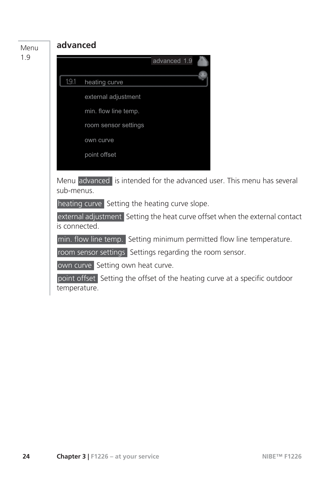Menu 1.9

#### **advanced**



### advanced 1.9 19.1 heating curve external adjustment

min. flow line temp.

room sensor settings

own curve

point offset

Menu advanced is intended for the advanced user. This menu has several sub-menus.

heating curve Setting the heating curve slope.

external adjustment Setting the heat curve offset when the external contact is connected.

min. flow line temp. Setting minimum permitted flow line temperature.

room sensor settings Settings regarding the room sensor.

own curve Setting own heat curve.

point offset Setting the offset of the heating curve at a specific outdoor temperature.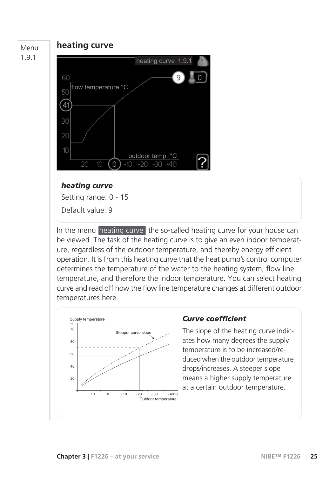#### Menu 1.9.1

#### **heating curve**



#### *heating curve*

Setting range: 0 - 15

Default value: 9

In the menu heating curve the so-called heating curve for your house can be viewed. The task of the heating curve is to give an even indoor temperature, regardless of the outdoor temperature, and thereby energy efficient operation. It is from this heating curve that the heat pump's control computer determines the temperature of the water to the heating system, flow line temperature, and therefore the indoor temperature. You can select heating curve and read off how the flow line temperature changes at different outdoor temperatures here.



#### *Curve coefficient*

The slope of the heating curve indicates how many degrees the supply temperature is to be increased/reduced when the outdoor temperature drops/increases. A steeper slope means a higher supply temperature at a certain outdoor temperature.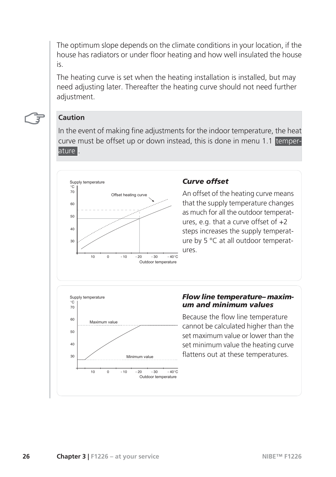The optimum slope depends on the climate conditions in your location, if the house has radiators or under floor heating and how well insulated the house is.

The heating curve is set when the heating installation is installed, but may need adjusting later. Thereafter the heating curve should not need further adjustment.



#### **Caution**

In the event of making fine adjustments for the indoor temperature, the heat curve must be offset up or down instead, this is done in menu 1.1 temperature .



#### *Curve offset*

An offset of the heating curve means that the supply temperature changes as much for all the outdoor temperatures, e.g. that a curve offset of +2 steps increases the supply temperature by 5 °C at all outdoor temperatures.



#### *Flow line temperature– maximum and minimum values*

Because the flow line temperature cannot be calculated higher than the set maximum value or lower than the set minimum value the heating curve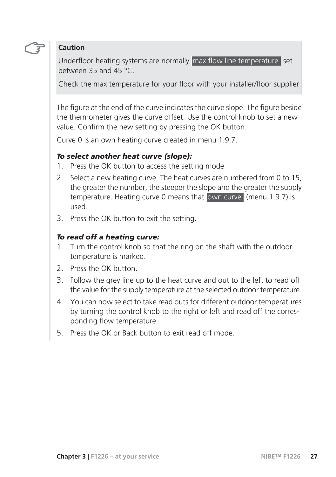#### **Caution**

Underfloor heating systems are normally max flow line temperature set between 35 and 45 °C.

Check the max temperature for your floor with your installer/floor supplier.

The figure at the end of the curve indicates the curve slope. The figure beside the thermometer gives the curve offset. Use the control knob to set a new value. Confirm the new setting by pressing the OK button.

Curve 0 is an own heating curve created in menu 1.9.7.

#### *To select another heat curve (slope):*

- 1. Press the OK button to access the setting mode
- 2. Select a new heating curve. The heat curves are numbered from 0 to 15, the greater the number, the steeper the slope and the greater the supply temperature. Heating curve 0 means that own curve (menu 1.9.7) is used.
- 3. Press the OK button to exit the setting.

#### *To read off a heating curve:*

- 1. Turn the control knob so that the ring on the shaft with the outdoor temperature is marked.
- 2. Press the OK button.
- 3. Follow the grey line up to the heat curve and out to the left to read off the value for the supply temperature at the selected outdoor temperature.
- 4. You can now select to take read outs for different outdoor temperatures by turning the control knob to the right or left and read off the corresponding flow temperature.
- 5. Press the OK or Back button to exit read off mode.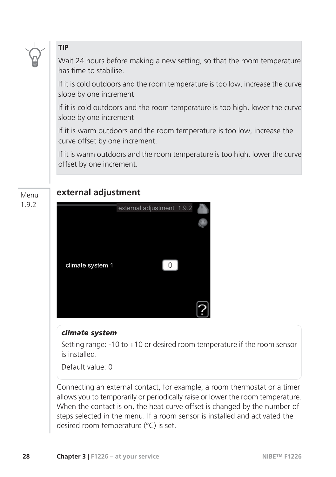

#### **TIP**

Wait 24 hours before making a new setting, so that the room temperature has time to stabilise.

If it is cold outdoors and the room temperature is too low, increase the curve slope by one increment.

If it is cold outdoors and the room temperature is too high, lower the curve slope by one increment.

If it is warm outdoors and the room temperature is too low, increase the curve offset by one increment.

If it is warm outdoors and the room temperature is too high, lower the curve offset by one increment.

#### Menu 1.9.2

#### **external adjustment**



#### *climate system*

Setting range: -10 to +10 or desired room temperature if the room sensor is installed.

Default value: 0

Connecting an external contact, for example, a room thermostat or a timer allows you to temporarily or periodically raise or lower the room temperature. When the contact is on, the heat curve offset is changed by the number of steps selected in the menu. If a room sensor is installed and activated the desired room temperature (°C) is set.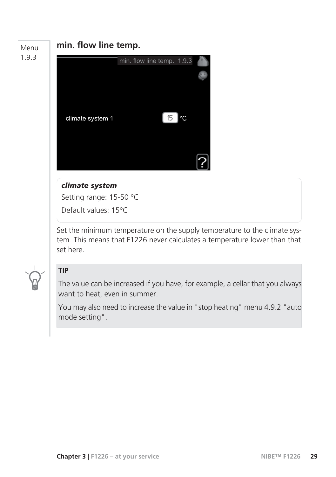#### Menu 1.9.3

#### **min. flow line temp.**



#### *climate system*

Setting range: 15-50 °C

Default values: 15°C

Set the minimum temperature on the supply temperature to the climate system. This means that F1226 never calculates a temperature lower than that set here.



#### **TIP**

The value can be increased if you have, for example, a cellar that you always want to heat, even in summer.

You may also need to increase the value in "stop heating" menu 4.9.2 "auto mode setting".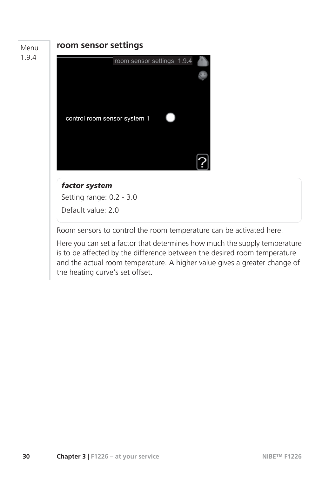#### Menu 1.9.4

#### **room sensor settings**



#### *factor system*

Setting range: 0.2 - 3.0 Default value: 2.0

Room sensors to control the room temperature can be activated here.

Here you can set a factor that determines how much the supply temperature is to be affected by the difference between the desired room temperature and the actual room temperature. A higher value gives a greater change of the heating curve's set offset.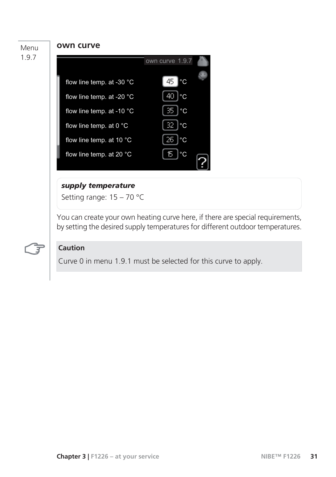#### Menu

1.9.7

#### **own curve**



#### *supply temperature*

Setting range: 15 – 70 °C

You can create your own heating curve here, if there are special requirements, by setting the desired supply temperatures for different outdoor temperatures.



#### **Caution**

Curve 0 in menu 1.9.1 must be selected for this curve to apply.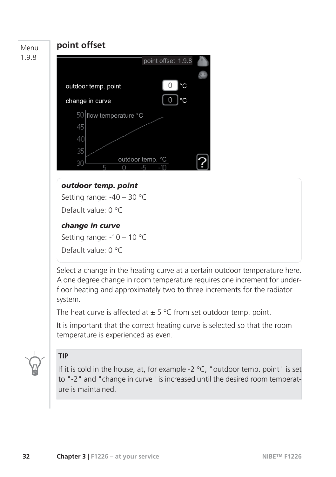

system.

The heat curve is affected at  $\pm$  5 °C from set outdoor temp. point.

It is important that the correct heating curve is selected so that the room temperature is experienced as even.



#### **TIP**

If it is cold in the house, at, for example -2  $^{\circ}$ C, "outdoor temp. point" is set to "-2" and "change in curve" is increased until the desired room temperature is maintained.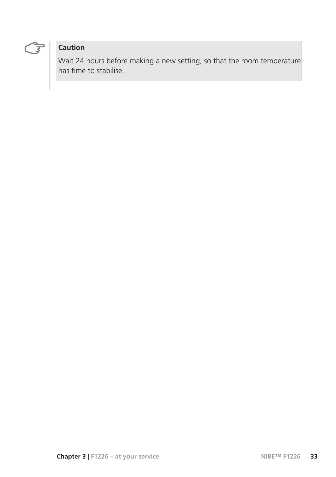

#### **Caution**

Wait 24 hours before making a new setting, so that the room temperature has time to stabilise.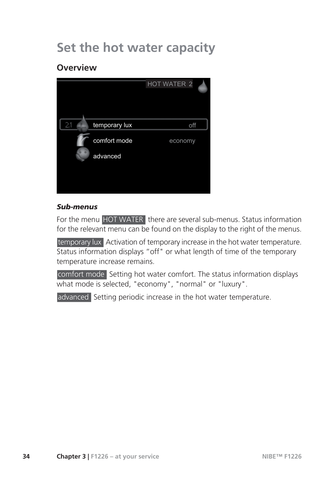### **Set the hot water capacity**

#### **Overview**



#### *Sub-menus*

For the menu HOT WATER there are several sub-menus. Status information for the relevant menu can be found on the display to the right of the menus.

temporary lux Activation of temporary increase in the hot water temperature. Status information displays "off" or what length of time of the temporary temperature increase remains.

comfort mode Setting hot water comfort. The status information displays what mode is selected, "economy", "normal" or "luxury".

advanced Setting periodic increase in the hot water temperature.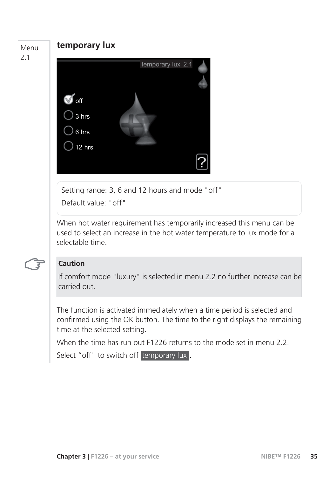# **temporary lux** off temporary lux 2.1 3 hrs 6 hrs 12 hrs Setting range: 3, 6 and 12 hours and mode "off" Default value: "off" Menu 2.1

When hot water requirement has temporarily increased this menu can be used to select an increase in the hot water temperature to lux mode for a selectable time.

#### **Caution**

If comfort mode "luxury" is selected in menu 2.2 no further increase can be carried out.

The function is activated immediately when a time period is selected and confirmed using the OK button. The time to the right displays the remaining time at the selected setting.

When the time has run out F1226 returns to the mode set in menu 2.2

Select "off" to switch off temporary lux.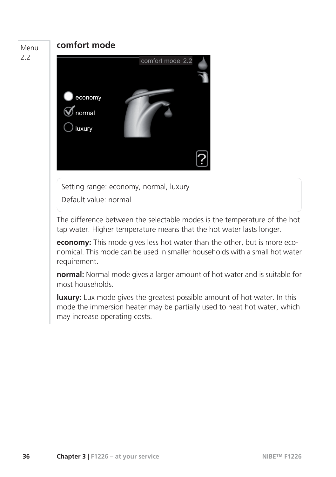### **comfort mode** economy comfort mode 2.2 normal luxury Setting range: economy, normal, luxury Default value: normal Menu 2.2 The difference between the selectable modes is the temperature of the hot tap water. Higher temperature means that the hot water lasts longer. **economy:** This mode gives less hot water than the other, but is more economical. This mode can be used in smaller households with a small hot water requirement. **normal:** Normal mode gives a larger amount of hot water and is suitable for most households. **luxury:** Lux mode gives the greatest possible amount of hot water. In this mode the immersion heater may be partially used to heat hot water, which may increase operating costs.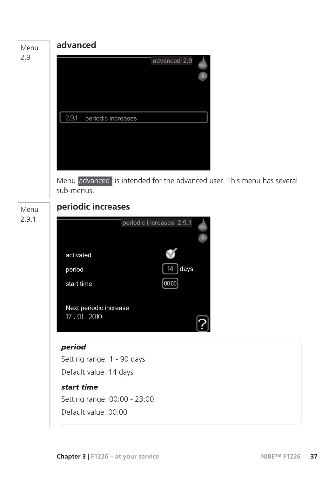



#### *period*

Setting range: 1 - 90 days Default value: 14 days

#### *start time*

Setting range: 00:00 - 23:00 Default value: 00:00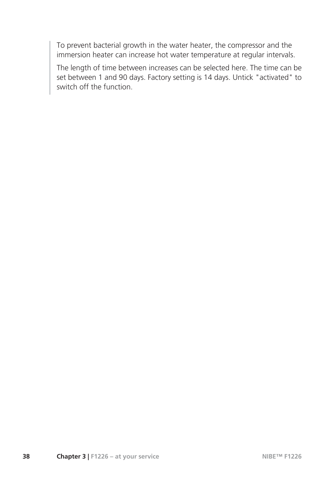To prevent bacterial growth in the water heater, the compressor and the immersion heater can increase hot water temperature at regular intervals.

The length of time between increases can be selected here. The time can be set between 1 and 90 days. Factory setting is 14 days. Untick "activated" to switch off the function.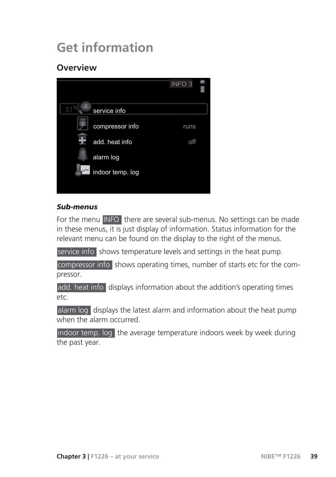### **Get information**

#### **Overview**

![](_page_40_Picture_2.jpeg)

#### *Sub-menus*

For the menu INFO there are several sub-menus. No settings can be made in these menus, it is just display of information. Status information for the relevant menu can be found on the display to the right of the menus.

service info shows temperature levels and settings in the heat pump.

compressor info shows operating times, number of starts etc for the compressor.

add. heat info displays information about the addition's operating times etc.

alarm log displays the latest alarm and information about the heat pump when the alarm occurred.

indoor temp. log the average temperature indoors week by week during the past year.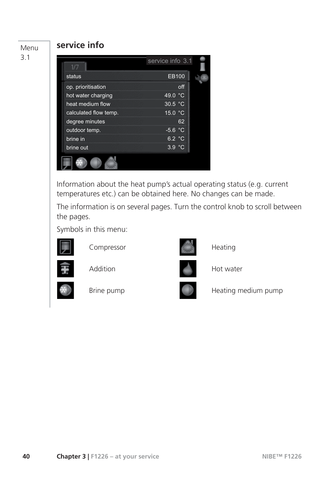Menu 3.1

#### **service info**

| 1/7                   | service info 3.1 |
|-----------------------|------------------|
| status                | EB100            |
| op. prioritisation    | off              |
| hot water charging    | 49.0 $\degree$ C |
| heat medium flow      | 30.5 °C          |
| calculated flow temp. | 15.0 °C          |
| degree minutes        | 62               |
| outdoor temp.         | $-5.6 °C$        |
| brine in              | 6.2 °C           |
| brine out             | 3.9 °C           |

Information about the heat pump's actual operating status (e.g. current temperatures etc.) can be obtained here. No changes can be made.

The information is on several pages. Turn the control knob to scroll between the pages.

Symbols in this menu:

![](_page_41_Picture_6.jpeg)

Compressor **Heating** 

![](_page_41_Picture_8.jpeg)

Addition **Hot water** 

![](_page_41_Picture_10.jpeg)

![](_page_41_Picture_12.jpeg)

![](_page_41_Picture_14.jpeg)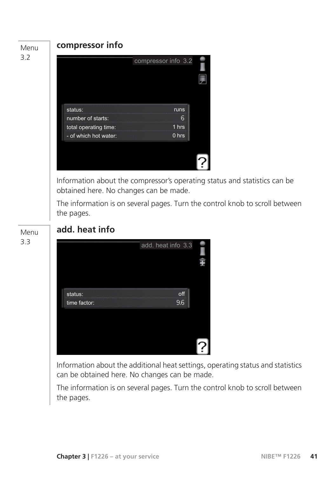#### Menu 3.2

#### **compressor info**

![](_page_42_Picture_2.jpeg)

Information about the compressor's operating status and statistics can be obtained here. No changes can be made.

The information is on several pages. Turn the control knob to scroll between the pages.

![](_page_42_Figure_5.jpeg)

#### **add. heat info**

|                         | add. heat info 3.3 |  |
|-------------------------|--------------------|--|
| status:<br>time factor: | off<br>9.6         |  |
|                         |                    |  |
|                         |                    |  |

Information about the additional heat settings, operating status and statistics can be obtained here. No changes can be made.

The information is on several pages. Turn the control knob to scroll between the pages.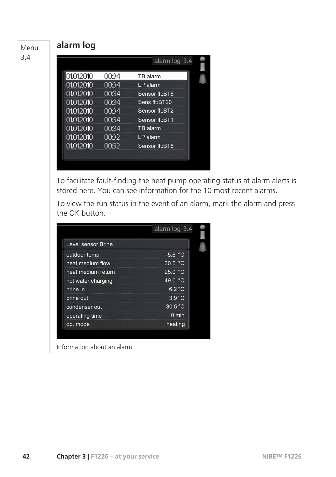|             |       | alarm log 3.4  |  |
|-------------|-------|----------------|--|
|             |       |                |  |
| 101.01.2010 | 00:34 | TB alarm       |  |
| 01.01.2010  | 00:34 | $LP$ alarm     |  |
| 01.01.2010  | 00:34 | Sensor flt:BT6 |  |
| 01.01.2010  | 00:34 | Sens flt:BT20  |  |
| 01.01.2010  | 00:34 | Sensor flt:BT2 |  |
| 01012010    | 00:34 | Sensor flt:BT1 |  |
| 01.01.2010  | 00:34 | TB alarm       |  |
| 01.01.2010  | 00:32 | LP alarm       |  |
| 01.01.2010  | 00:32 | Sensor flt:BT6 |  |
|             |       |                |  |
|             |       |                |  |

**alarm log**

Menu 3.4

> To facilitate fault-finding the heat pump operating status at alarm alerts is stored here. You can see information for the 10 most recent alarms.

> To view the run status in the event of an alarm, mark the alarm and press the OK button.

|                    | alarm log 3.4    |
|--------------------|------------------|
| Level sensor Brine |                  |
| outdoor temp.      | $-5.6 °C$        |
| heat medium flow   | 30.5 °C          |
| heat medium return | 25.0 °C          |
| hot water charging | 49.0 °C          |
| brine in           | 6.2 °C           |
| brine out          | 3.9 °C           |
| condenser out      | $30.5^{\circ}$ C |
| operating time     | $0 \text{ min}$  |
| op. mode           | heating          |

Information about an alarm.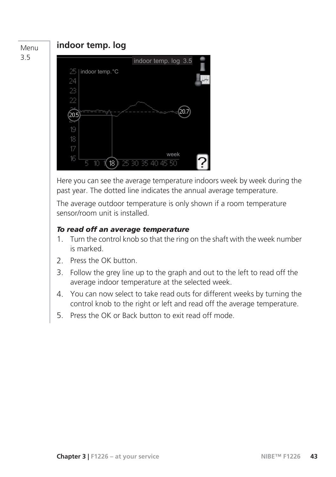#### Menu 3.5

#### **indoor temp. log**

![](_page_44_Picture_2.jpeg)

Here you can see the average temperature indoors week by week during the past year. The dotted line indicates the annual average temperature.

The average outdoor temperature is only shown if a room temperature sensor/room unit is installed.

#### *To read off an average temperature*

- 1. Turn the control knob so that the ring on the shaft with the week number is marked.
- 2. Press the OK button.
- 3. Follow the grey line up to the graph and out to the left to read off the average indoor temperature at the selected week.
- 4. You can now select to take read outs for different weeks by turning the control knob to the right or left and read off the average temperature.
- 5. Press the OK or Back button to exit read off mode.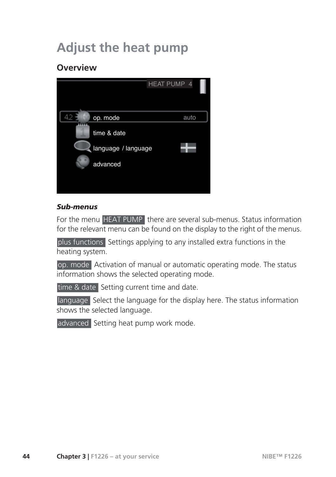## **Adjust the heat pump**

#### **Overview**

![](_page_45_Picture_2.jpeg)

#### *Sub-menus*

For the menu HEAT PUMP there are several sub-menus. Status information for the relevant menu can be found on the display to the right of the menus.

plus functions Settings applying to any installed extra functions in the heating system.

op. mode Activation of manual or automatic operating mode. The status information shows the selected operating mode.

time & date Setting current time and date.

language Select the language for the display here. The status information shows the selected language.

advanced Setting heat pump work mode.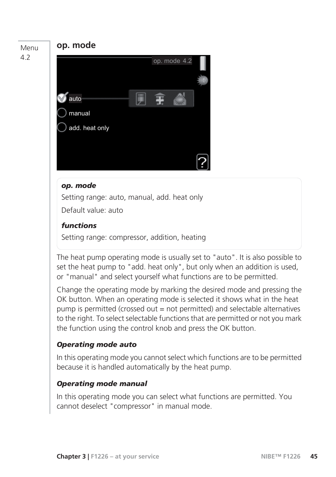#### Menu 4.2

#### **op. mode**

![](_page_46_Picture_3.jpeg)

#### *op. mode*

Setting range: auto, manual, add. heat only Default value: auto

#### *functions*

Setting range: compressor, addition, heating

The heat pump operating mode is usually set to "auto". It is also possible to set the heat pump to "add. heat only", but only when an addition is used, or "manual" and select yourself what functions are to be permitted.

Change the operating mode by marking the desired mode and pressing the OK button. When an operating mode is selected it shows what in the heat pump is permitted (crossed out = not permitted) and selectable alternatives to the right. To select selectable functions that are permitted or not you mark the function using the control knob and press the OK button.

#### *Operating mode auto*

In this operating mode you cannot select which functions are to be permitted because it is handled automatically by the heat pump.

#### *Operating mode manual*

In this operating mode you can select what functions are permitted. You cannot deselect "compressor" in manual mode.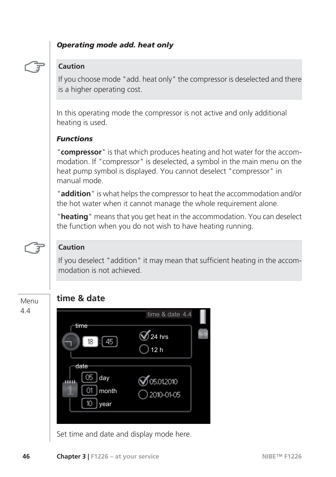#### *Operating mode add. heat only*

![](_page_47_Picture_1.jpeg)

#### **Caution**

If you choose mode "add. heat only" the compressor is deselected and there is a higher operating cost.

In this operating mode the compressor is not active and only additional heating is used.

#### *Functions*

"**compressor**" is that which produces heating and hot water for the accommodation. If "compressor" is deselected, a symbol in the main menu on the heat pump symbol is displayed. You cannot deselect "compressor" in manual mode.

"**addition**" is what helps the compressor to heat the accommodation and/or the hot water when it cannot manage the whole requirement alone.

"**heating**" means that you get heat in the accommodation. You can deselect the function when you do not wish to have heating running.

![](_page_47_Picture_9.jpeg)

#### **Caution**

**time & date**

If you deselect "addition" it may mean that sufficient heating in the accommodation is not achieved.

#### Menu 4.4

![](_page_47_Picture_13.jpeg)

Set time and date and display mode here.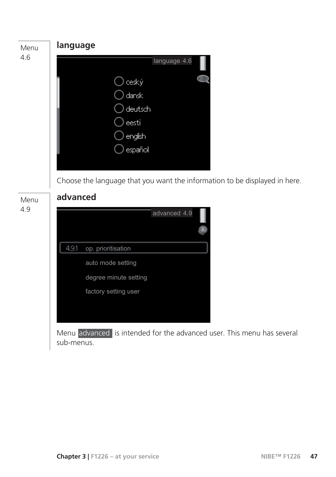![](_page_48_Picture_0.jpeg)

Choose the language that you want the information to be displayed in here.

![](_page_48_Figure_2.jpeg)

### **advanced**

|       |                       | advanced 4.9 |  |
|-------|-----------------------|--------------|--|
| 4.9.1 | op. prioritisation    |              |  |
|       | auto mode setting     |              |  |
|       | degree minute setting |              |  |
|       | factory setting user  |              |  |
|       |                       |              |  |
|       |                       |              |  |

Menu advanced is intended for the advanced user. This menu has several sub-menus.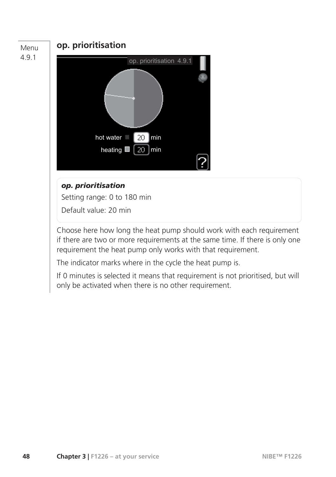![](_page_49_Figure_0.jpeg)

#### *op. prioritisation*

Setting range: 0 to 180 min

Default value: 20 min

Choose here how long the heat pump should work with each requirement if there are two or more requirements at the same time. If there is only one requirement the heat pump only works with that requirement.

The indicator marks where in the cycle the heat pump is.

If 0 minutes is selected it means that requirement is not prioritised, but will only be activated when there is no other requirement.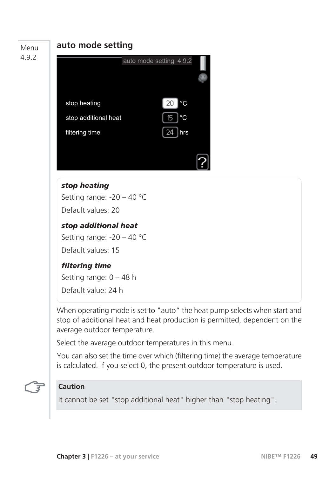#### Menu 4.9.2

#### **auto mode setting**

![](_page_50_Picture_2.jpeg)

#### *stop heating*

Setting range: -20 – 40 °C Default values: 20

#### *stop additional heat*

Setting range: -20 – 40 °C Default values: 15

#### *filtering time*

Setting range: 0 – 48 h

Default value: 24 h

When operating mode is set to "auto" the heat pump selects when start and stop of additional heat and heat production is permitted, dependent on the average outdoor temperature.

Select the average outdoor temperatures in this menu.

You can also set the time over which (filtering time) the average temperature is calculated. If you select 0, the present outdoor temperature is used.

#### **Caution**

It cannot be set "stop additional heat" higher than "stop heating".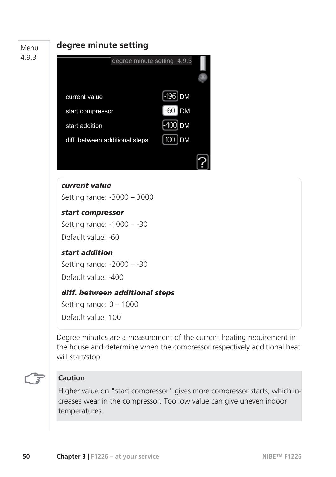Menu 4.9.3

#### **degree minute setting**

![](_page_51_Picture_2.jpeg)

#### *current value*

Setting range: -3000 – 3000

#### *start compressor*

Setting range: -1000 – -30

Default value: -60

#### *start addition*

Setting range: -2000 – -30

Default value: -400

#### *diff. between additional steps*

Setting range: 0 – 1000

Default value: 100

Degree minutes are a measurement of the current heating requirement in the house and determine when the compressor respectively additional heat will start/stop.

#### **Caution**

Higher value on "start compressor" gives more compressor starts, which increases wear in the compressor. Too low value can give uneven indoor temperatures.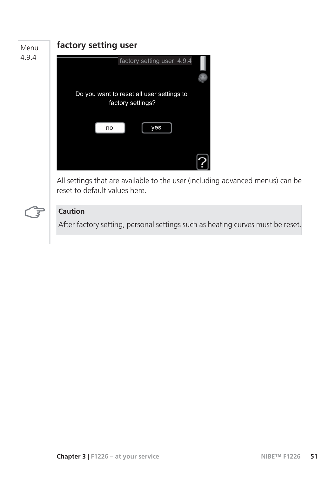![](_page_52_Picture_0.jpeg)

![](_page_52_Figure_1.jpeg)

#### **Caution**

After factory setting, personal settings such as heating curves must be reset.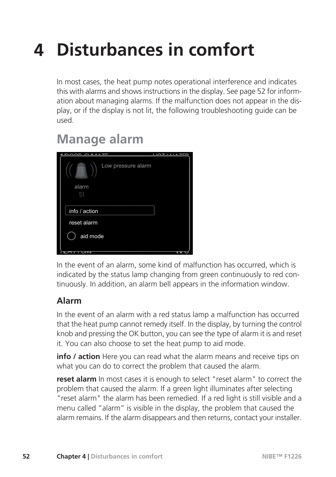# **4 Disturbances in comfort**

In most cases, the heat pump notes operational interference and indicates this with alarms and shows instructions in the display. See page 52 for information about managing alarms. If the malfunction does not appear in the display, or if the display is not lit, the following troubleshooting guide can be used.

### **Manage alarm**

| $F_{\rm H}$<br>$P_1$ $A_2$ $B_3$ $T$ r<br>$1 + 1$<br>Ч | 1010 TT |
|--------------------------------------------------------|---------|
| Low pressure alarm<br>alarm<br>51                      |         |
| info / action                                          |         |
| reset alarm                                            |         |
| aid mode                                               |         |
| own                                                    | गाया    |

In the event of an alarm, some kind of malfunction has occurred, which is indicated by the status lamp changing from green continuously to red continuously. In addition, an alarm bell appears in the information window.

#### **Alarm**

In the event of an alarm with a red status lamp a malfunction has occurred that the heat pump cannot remedy itself. In the display, by turning the control knob and pressing the OK button, you can see the type of alarm it is and reset it. You can also choose to set the heat pump to aid mode.

**info / action** Here you can read what the alarm means and receive tips on what you can do to correct the problem that caused the alarm.

**reset alarm** In most cases it is enough to select "reset alarm" to correct the problem that caused the alarm. If a green light illuminates after selecting "reset alarm" the alarm has been remedied. If a red light is still visible and a menu called "alarm" is visible in the display, the problem that caused the alarm remains. If the alarm disappears and then returns, contact your installer.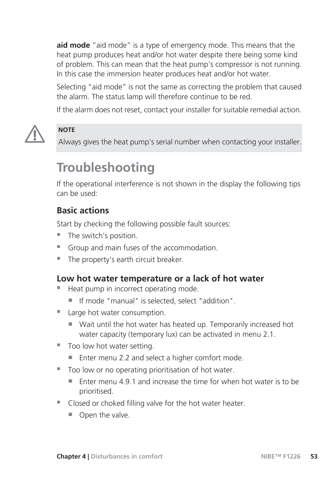**aid mode** "aid mode" is a type of emergency mode. This means that the heat pump produces heat and/or hot water despite there being some kind of problem. This can mean that the heat pump's compressor is not running. In this case the immersion heater produces heat and/or hot water.

Selecting "aid mode" is not the same as correcting the problem that caused the alarm. The status lamp will therefore continue to be red.

If the alarm does not reset, contact your installer for suitable remedial action.

![](_page_54_Picture_3.jpeg)

#### **NOTE**

Always gives the heat pump's serial number when contacting your installer.

### **Troubleshooting**

If the operational interference is not shown in the display the following tips can be used:

#### **Basic actions**

Start by checking the following possible fault sources:

- The switch's position.
- Group and main fuses of the accommodation.
- The property's earth circuit breaker.

#### **Low hot water temperature or a lack of hot water**

- Heat pump in incorrect operating mode.
	- If mode "manual" is selected, select "addition".
- Large hot water consumption.
	- Wait until the hot water has heated up. Temporarily increased hot water capacity (temporary lux) can be activated in menu 2.1.
- Too low hot water setting.
	- Enter menu 2.2 and select a higher comfort mode.
- Too low or no operating prioritisation of hot water.
	- $\blacksquare$  Fnter menu 4.9.1 and increase the time for when hot water is to be prioritised.
- Closed or choked filling valve for the hot water heater.
	- Open the valve.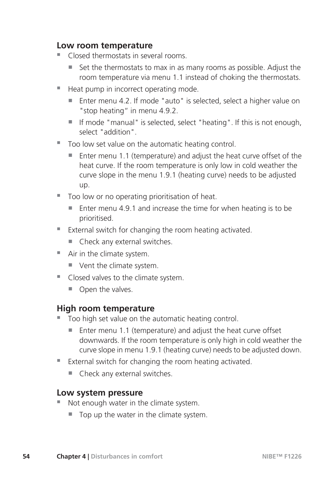#### **Low room temperature**

- Closed thermostats in several rooms.
	- $\blacksquare$  Set the thermostats to max in as many rooms as possible. Adjust the room temperature via menu 1.1 instead of choking the thermostats.
- Heat pump in incorrect operating mode.
	- Enter menu 4.2. If mode "auto" is selected, select a higher value on "stop heating" in menu 4.9.2.
	- If mode "manual" is selected, select "heating". If this is not enough, select "addition".
- Too low set value on the automatic heating control.
	- $\blacksquare$  Enter menu 1.1 (temperature) and adjust the heat curve offset of the heat curve. If the room temperature is only low in cold weather the curve slope in the menu 1.9.1 (heating curve) needs to be adjusted up.
- Too low or no operating prioritisation of heat.
	- $\blacksquare$  Enter menu 4.9.1 and increase the time for when heating is to be prioritised.
- External switch for changing the room heating activated.
	- $\blacksquare$  Check any external switches.
- Air in the climate system.
	- Vent the climate system.
- Closed valves to the climate system.
	- Open the valves.

#### **High room temperature**

- Too high set value on the automatic heating control.
	- $\blacksquare$  Enter menu 1.1 (temperature) and adjust the heat curve offset downwards. If the room temperature is only high in cold weather the curve slope in menu 1.9.1 (heating curve) needs to be adjusted down.
- External switch for changing the room heating activated.
	- $\blacksquare$  Check any external switches.

#### **Low system pressure**

- Not enough water in the climate system.
	- $\blacksquare$  Top up the water in the climate system.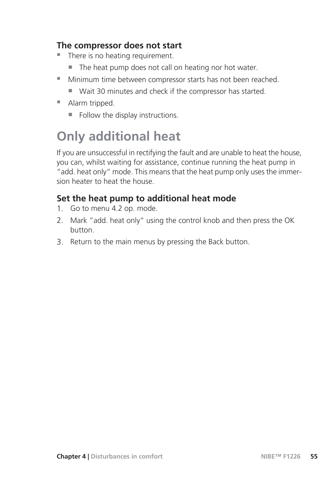#### **The compressor does not start**

- $\blacksquare$  There is no heating requirement.
	- The heat pump does not call on heating nor hot water.
- Minimum time between compressor starts has not been reached.
	- Wait 30 minutes and check if the compressor has started.
- Alarm tripped.
	- $\blacksquare$  Follow the display instructions.

### **Only additional heat**

If you are unsuccessful in rectifying the fault and are unable to heat the house, you can, whilst waiting for assistance, continue running the heat pump in "add. heat only" mode. This means that the heat pump only uses the immersion heater to heat the house.

#### **Set the heat pump to additional heat mode**

- 1. Go to menu 4.2 op. mode.
- 2. Mark "add. heat only" using the control knob and then press the OK button.
- 3. Return to the main menus by pressing the Back button.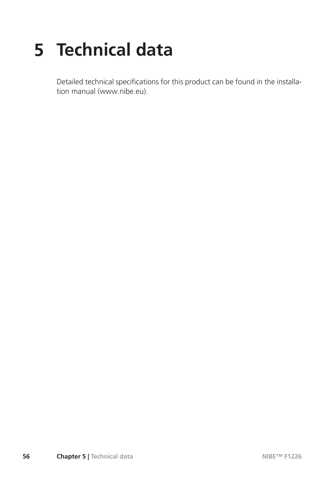# **5 Technical data**

Detailed technical specifications for this product can be found in the installation manual (www.nibe.eu).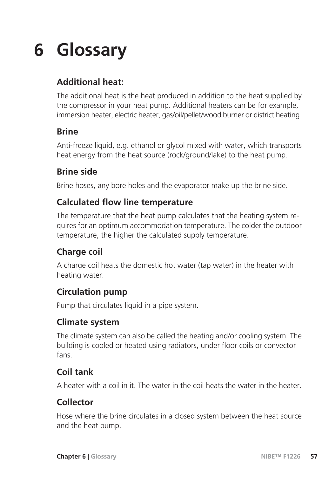# **6 Glossary**

### **Additional heat:**

The additional heat is the heat produced in addition to the heat supplied by the compressor in your heat pump. Additional heaters can be for example, immersion heater, electric heater, gas/oil/pellet/wood burner or district heating.

#### **Brine**

Anti-freeze liquid, e.g. ethanol or glycol mixed with water, which transports heat energy from the heat source (rock/ground/lake) to the heat pump.

#### **Brine side**

Brine hoses, any bore holes and the evaporator make up the brine side.

#### **Calculated flow line temperature**

The temperature that the heat pump calculates that the heating system requires for an optimum accommodation temperature. The colder the outdoor temperature, the higher the calculated supply temperature.

#### **Charge coil**

A charge coil heats the domestic hot water (tap water) in the heater with heating water.

#### **Circulation pump**

Pump that circulates liquid in a pipe system.

#### **Climate system**

The climate system can also be called the heating and/or cooling system. The building is cooled or heated using radiators, under floor coils or convector fans.

#### **Coil tank**

A heater with a coil in it. The water in the coil heats the water in the heater.

#### **Collector**

Hose where the brine circulates in a closed system between the heat source and the heat pump.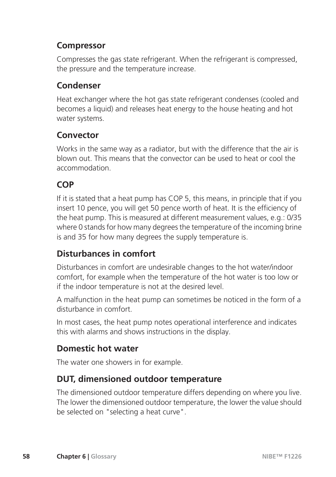#### **Compressor**

Compresses the gas state refrigerant. When the refrigerant is compressed, the pressure and the temperature increase.

#### **Condenser**

Heat exchanger where the hot gas state refrigerant condenses (cooled and becomes a liquid) and releases heat energy to the house heating and hot water systems.

#### **Convector**

Works in the same way as a radiator, but with the difference that the air is blown out. This means that the convector can be used to heat or cool the accommodation.

#### **COP**

If it is stated that a heat pump has COP 5, this means, in principle that if you insert 10 pence, you will get 50 pence worth of heat. It is the efficiency of the heat pump. This is measured at different measurement values, e.g.: 0/35 where 0 stands for how many degrees the temperature of the incoming brine is and 35 for how many degrees the supply temperature is.

#### **Disturbances in comfort**

Disturbances in comfort are undesirable changes to the hot water/indoor comfort, for example when the temperature of the hot water is too low or if the indoor temperature is not at the desired level.

A malfunction in the heat pump can sometimes be noticed in the form of a disturbance in comfort.

In most cases, the heat pump notes operational interference and indicates this with alarms and shows instructions in the display.

#### **Domestic hot water**

The water one showers in for example.

#### **DUT, dimensioned outdoor temperature**

The dimensioned outdoor temperature differs depending on where you live. The lower the dimensioned outdoor temperature, the lower the value should be selected on "selecting a heat curve".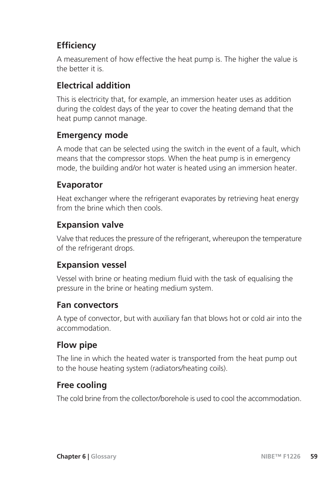### **Efficiency**

A measurement of how effective the heat pump is. The higher the value is the better it is.

#### **Electrical addition**

This is electricity that, for example, an immersion heater uses as addition during the coldest days of the year to cover the heating demand that the heat pump cannot manage.

#### **Emergency mode**

A mode that can be selected using the switch in the event of a fault, which means that the compressor stops. When the heat pump is in emergency mode, the building and/or hot water is heated using an immersion heater.

#### **Evaporator**

Heat exchanger where the refrigerant evaporates by retrieving heat energy from the brine which then cools.

#### **Expansion valve**

Valve that reduces the pressure of the refrigerant, whereupon the temperature of the refrigerant drops.

#### **Expansion vessel**

Vessel with brine or heating medium fluid with the task of equalising the pressure in the brine or heating medium system.

#### **Fan convectors**

A type of convector, but with auxiliary fan that blows hot or cold air into the accommodation.

#### **Flow pipe**

The line in which the heated water is transported from the heat pump out to the house heating system (radiators/heating coils).

#### **Free cooling**

The cold brine from the collector/borehole is used to cool the accommodation.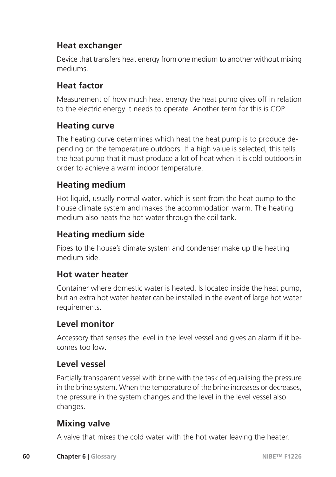#### **Heat exchanger**

Device that transfers heat energy from one medium to another without mixing mediums.

#### **Heat factor**

Measurement of how much heat energy the heat pump gives off in relation to the electric energy it needs to operate. Another term for this is COP.

#### **Heating curve**

The heating curve determines which heat the heat pump is to produce depending on the temperature outdoors. If a high value is selected, this tells the heat pump that it must produce a lot of heat when it is cold outdoors in order to achieve a warm indoor temperature.

#### **Heating medium**

Hot liquid, usually normal water, which is sent from the heat pump to the house climate system and makes the accommodation warm. The heating medium also heats the hot water through the coil tank.

#### **Heating medium side**

Pipes to the house's climate system and condenser make up the heating medium side.

#### **Hot water heater**

Container where domestic water is heated. Is located inside the heat pump, but an extra hot water heater can be installed in the event of large hot water requirements.

#### **Level monitor**

Accessory that senses the level in the level vessel and gives an alarm if it becomes too low.

#### **Level vessel**

Partially transparent vessel with brine with the task of equalising the pressure in the brine system. When the temperature of the brine increases or decreases, the pressure in the system changes and the level in the level vessel also changes.

#### **Mixing valve**

A valve that mixes the cold water with the hot water leaving the heater.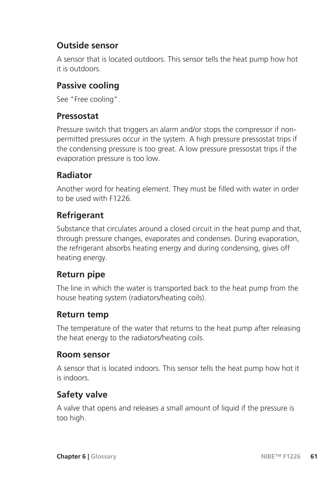#### **Outside sensor**

A sensor that is located outdoors. This sensor tells the heat pump how hot it is outdoors.

#### **Passive cooling**

See "Free cooling".

#### **Pressostat**

Pressure switch that triggers an alarm and/or stops the compressor if nonpermitted pressures occur in the system. A high pressure pressostat trips if the condensing pressure is too great. A low pressure pressostat trips if the evaporation pressure is too low.

#### **Radiator**

Another word for heating element. They must be filled with water in order to be used with F1226.

#### **Refrigerant**

Substance that circulates around a closed circuit in the heat pump and that, through pressure changes, evaporates and condenses. During evaporation, the refrigerant absorbs heating energy and during condensing, gives off heating energy.

#### **Return pipe**

The line in which the water is transported back to the heat pump from the house heating system (radiators/heating coils).

#### **Return temp**

The temperature of the water that returns to the heat pump after releasing the heat energy to the radiators/heating coils.

#### **Room sensor**

A sensor that is located indoors. This sensor tells the heat pump how hot it is indoors.

#### **Safety valve**

A valve that opens and releases a small amount of liquid if the pressure is too high.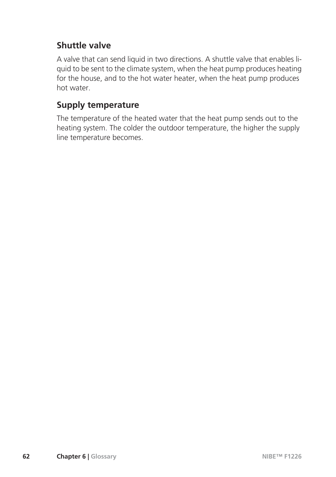#### **Shuttle valve**

A valve that can send liquid in two directions. A shuttle valve that enables liquid to be sent to the climate system, when the heat pump produces heating for the house, and to the hot water heater, when the heat pump produces hot water.

#### **Supply temperature**

The temperature of the heated water that the heat pump sends out to the heating system. The colder the outdoor temperature, the higher the supply line temperature becomes.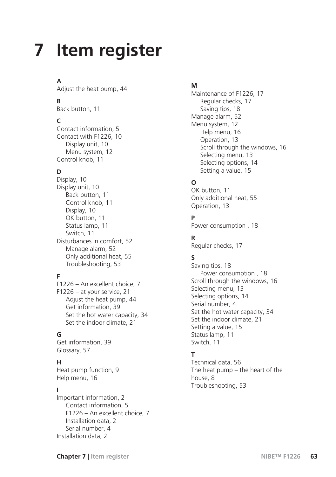# **Item register 7**

#### **A**

Adjust the heat pump, 44

#### **B**

Back button, 11

#### **C**

Contact information, 5 Contact with F1226, 10 Display unit, 10 Menu system, 12 Control knob, 11

#### **D**

Display, 10 Display unit, 10 Back button, 11 Control knob, 11 Display, 10 OK button, 11 Status lamp, 11 Switch, 11 Disturbances in comfort, 52 Manage alarm, 52 Only additional heat, 55 Troubleshooting, 53

#### **F**

F1226 – An excellent choice, 7 F1226 – at your service, 21 Adjust the heat pump, 44 Get information, 39 Set the hot water capacity, 34 Set the indoor climate, 21

#### **G**

Get information, 39 Glossary, 57

#### **H**

Heat pump function, 9 Help menu, 16

#### **I**

Important information, 2 Contact information, 5 F1226 – An excellent choice, 7 Installation data, 2 Serial number, 4 Installation data, 2

#### **M**

Maintenance of F1226, 17 Regular checks, 17 Saving tips, 18 Manage alarm, 52 Menu system, 12 Help menu, 16 Operation, 13 Scroll through the windows, 16 Selecting menu, 13 Selecting options, 14 Setting a value, 15

#### **O**

OK button, 11 Only additional heat, 55 Operation, 13

#### **P**

Power consumption , 18

#### **R**

Regular checks, 17

#### **S**

Saving tips, 18 Power consumption , 18 Scroll through the windows, 16 Selecting menu, 13 Selecting options, 14 Serial number, 4 Set the hot water capacity, 34 Set the indoor climate, 21 Setting a value, 15 Status lamp, 11 Switch, 11

#### **T**

Technical data, 56 The heat pump – the heart of the house, 8 Troubleshooting, 53